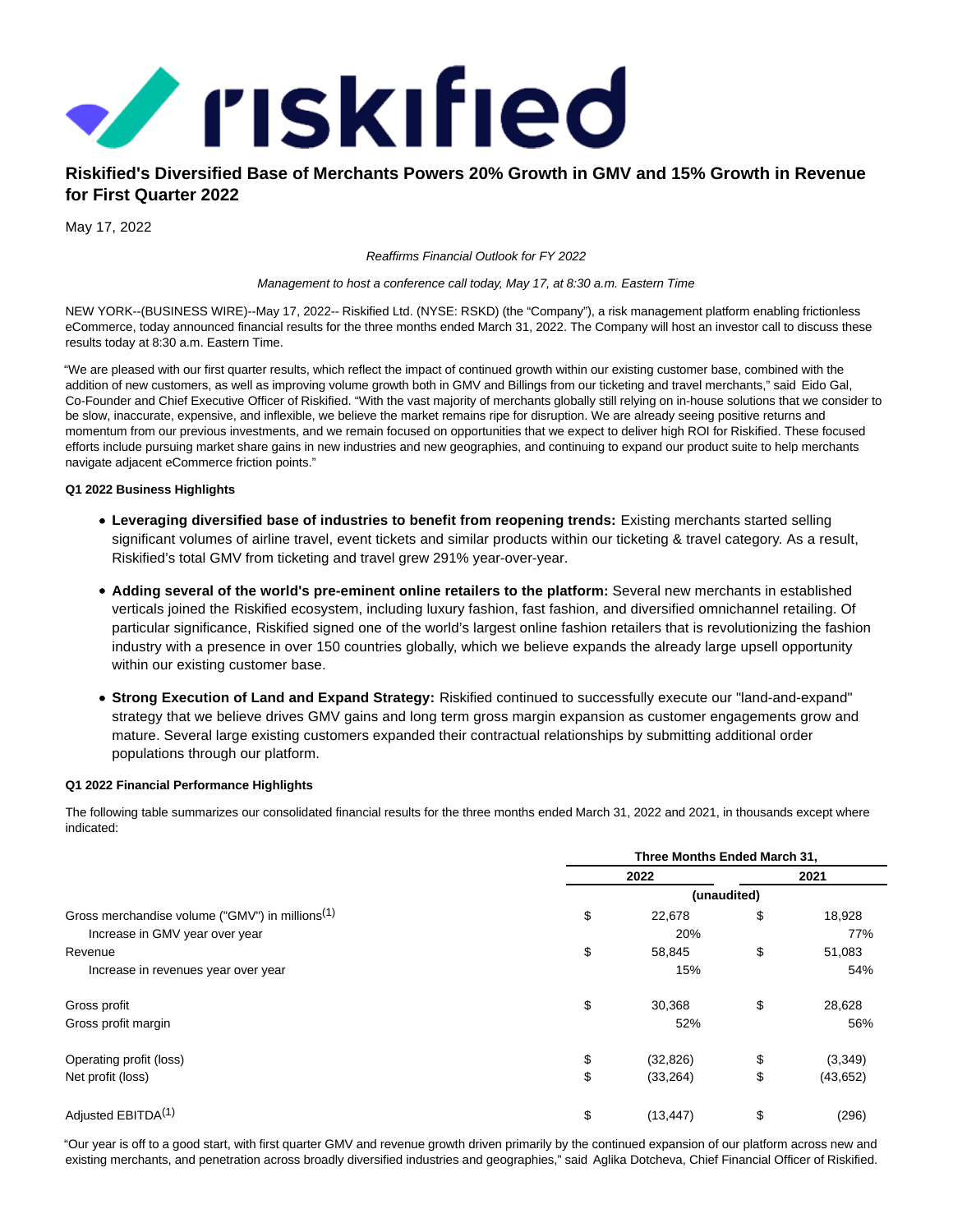

# **Riskified's Diversified Base of Merchants Powers 20% Growth in GMV and 15% Growth in Revenue for First Quarter 2022**

May 17, 2022

Reaffirms Financial Outlook for FY 2022

Management to host a conference call today, May 17, at 8:30 a.m. Eastern Time

NEW YORK--(BUSINESS WIRE)--May 17, 2022-- Riskified Ltd. (NYSE: RSKD) (the "Company"), a risk management platform enabling frictionless eCommerce, today announced financial results for the three months ended March 31, 2022. The Company will host an investor call to discuss these results today at 8:30 a.m. Eastern Time.

"We are pleased with our first quarter results, which reflect the impact of continued growth within our existing customer base, combined with the addition of new customers, as well as improving volume growth both in GMV and Billings from our ticketing and travel merchants," said Eido Gal, Co-Founder and Chief Executive Officer of Riskified. "With the vast majority of merchants globally still relying on in-house solutions that we consider to be slow, inaccurate, expensive, and inflexible, we believe the market remains ripe for disruption. We are already seeing positive returns and momentum from our previous investments, and we remain focused on opportunities that we expect to deliver high ROI for Riskified. These focused efforts include pursuing market share gains in new industries and new geographies, and continuing to expand our product suite to help merchants navigate adjacent eCommerce friction points."

## **Q1 2022 Business Highlights**

- **Leveraging diversified base of industries to benefit from reopening trends:** Existing merchants started selling significant volumes of airline travel, event tickets and similar products within our ticketing & travel category. As a result, Riskified's total GMV from ticketing and travel grew 291% year-over-year.
- **Adding several of the world's pre-eminent online retailers to the platform:** Several new merchants in established verticals joined the Riskified ecosystem, including luxury fashion, fast fashion, and diversified omnichannel retailing. Of particular significance, Riskified signed one of the world's largest online fashion retailers that is revolutionizing the fashion industry with a presence in over 150 countries globally, which we believe expands the already large upsell opportunity within our existing customer base.
- **Strong Execution of Land and Expand Strategy:** Riskified continued to successfully execute our "land-and-expand" strategy that we believe drives GMV gains and long term gross margin expansion as customer engagements grow and mature. Several large existing customers expanded their contractual relationships by submitting additional order populations through our platform.

## **Q1 2022 Financial Performance Highlights**

The following table summarizes our consolidated financial results for the three months ended March 31, 2022 and 2021, in thousands except where indicated:

|                                                             | Three Months Ended March 31, |             |           |  |
|-------------------------------------------------------------|------------------------------|-------------|-----------|--|
|                                                             | 2022                         |             | 2021      |  |
|                                                             |                              | (unaudited) |           |  |
| Gross merchandise volume ("GMV") in millions <sup>(1)</sup> | \$<br>22,678                 | \$          | 18,928    |  |
| Increase in GMV year over year                              | 20%                          |             | 77%       |  |
| Revenue                                                     | \$<br>58,845                 | \$          | 51,083    |  |
| Increase in revenues year over year                         | 15%                          |             | 54%       |  |
| Gross profit                                                | \$<br>30,368                 | \$          | 28,628    |  |
| Gross profit margin                                         | 52%                          |             | 56%       |  |
| Operating profit (loss)                                     | \$<br>(32, 826)              | \$          | (3,349)   |  |
| Net profit (loss)                                           | \$<br>(33, 264)              | \$          | (43, 652) |  |
| Adjusted EBITDA <sup>(1)</sup>                              | \$<br>(13, 447)              | \$          | (296)     |  |

"Our year is off to a good start, with first quarter GMV and revenue growth driven primarily by the continued expansion of our platform across new and existing merchants, and penetration across broadly diversified industries and geographies," said Aglika Dotcheva, Chief Financial Officer of Riskified.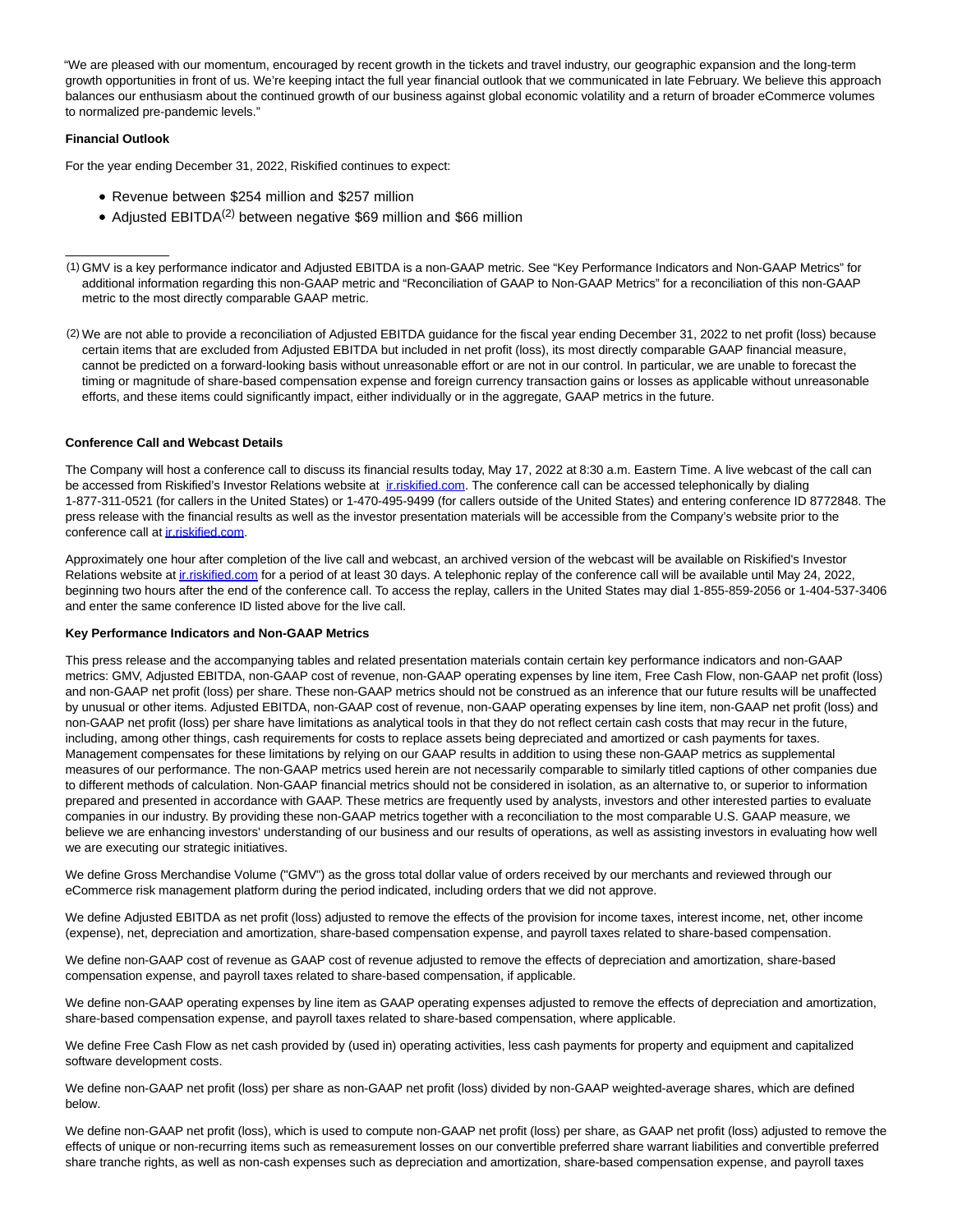"We are pleased with our momentum, encouraged by recent growth in the tickets and travel industry, our geographic expansion and the long-term growth opportunities in front of us. We're keeping intact the full year financial outlook that we communicated in late February. We believe this approach balances our enthusiasm about the continued growth of our business against global economic volatility and a return of broader eCommerce volumes to normalized pre-pandemic levels."

## **Financial Outlook**

 $\overline{\phantom{a}}$  , where  $\overline{\phantom{a}}$ 

For the year ending December 31, 2022, Riskified continues to expect:

- Revenue between \$254 million and \$257 million
- Adjusted EBITDA(2) between negative \$69 million and \$66 million

(2) We are not able to provide a reconciliation of Adjusted EBITDA guidance for the fiscal year ending December 31, 2022 to net profit (loss) because certain items that are excluded from Adjusted EBITDA but included in net profit (loss), its most directly comparable GAAP financial measure, cannot be predicted on a forward-looking basis without unreasonable effort or are not in our control. In particular, we are unable to forecast the timing or magnitude of share-based compensation expense and foreign currency transaction gains or losses as applicable without unreasonable efforts, and these items could significantly impact, either individually or in the aggregate, GAAP metrics in the future.

## **Conference Call and Webcast Details**

The Company will host a conference call to discuss its financial results today, May 17, 2022 at 8:30 a.m. Eastern Time. A live webcast of the call can be accessed from Riskified's Investor Relations website at *indiskified.com*. The conference call can be accessed telephonically by dialing 1-877-311-0521 (for callers in the United States) or 1-470-495-9499 (for callers outside of the United States) and entering conference ID 8772848. The press release with the financial results as well as the investor presentation materials will be accessible from the Company's website prior to the conference call a[t ir.riskified.com.](https://cts.businesswire.com/ct/CT?id=smartlink&url=https%3A%2F%2Fir.riskified.com%2F&esheet=52721799&newsitemid=20220517005533&lan=en-US&anchor=ir.riskified.com&index=2&md5=424f440b5db8097a22dd3c0d3bb34312)

Approximately one hour after completion of the live call and webcast, an archived version of the webcast will be available on Riskified's Investor Relations website at in riskified.com for a period of at least 30 days. A telephonic replay of the conference call will be available until May 24, 2022, beginning two hours after the end of the conference call. To access the replay, callers in the United States may dial 1-855-859-2056 or 1-404-537-3406 and enter the same conference ID listed above for the live call.

#### **Key Performance Indicators and Non-GAAP Metrics**

This press release and the accompanying tables and related presentation materials contain certain key performance indicators and non-GAAP metrics: GMV, Adjusted EBITDA, non-GAAP cost of revenue, non-GAAP operating expenses by line item, Free Cash Flow, non-GAAP net profit (loss) and non-GAAP net profit (loss) per share. These non-GAAP metrics should not be construed as an inference that our future results will be unaffected by unusual or other items. Adjusted EBITDA, non-GAAP cost of revenue, non-GAAP operating expenses by line item, non-GAAP net profit (loss) and non-GAAP net profit (loss) per share have limitations as analytical tools in that they do not reflect certain cash costs that may recur in the future, including, among other things, cash requirements for costs to replace assets being depreciated and amortized or cash payments for taxes. Management compensates for these limitations by relying on our GAAP results in addition to using these non-GAAP metrics as supplemental measures of our performance. The non-GAAP metrics used herein are not necessarily comparable to similarly titled captions of other companies due to different methods of calculation. Non-GAAP financial metrics should not be considered in isolation, as an alternative to, or superior to information prepared and presented in accordance with GAAP. These metrics are frequently used by analysts, investors and other interested parties to evaluate companies in our industry. By providing these non-GAAP metrics together with a reconciliation to the most comparable U.S. GAAP measure, we believe we are enhancing investors' understanding of our business and our results of operations, as well as assisting investors in evaluating how well we are executing our strategic initiatives.

We define Gross Merchandise Volume ("GMV") as the gross total dollar value of orders received by our merchants and reviewed through our eCommerce risk management platform during the period indicated, including orders that we did not approve.

We define Adjusted EBITDA as net profit (loss) adjusted to remove the effects of the provision for income taxes, interest income, net, other income (expense), net, depreciation and amortization, share-based compensation expense, and payroll taxes related to share-based compensation.

We define non-GAAP cost of revenue as GAAP cost of revenue adjusted to remove the effects of depreciation and amortization, share-based compensation expense, and payroll taxes related to share-based compensation, if applicable.

We define non-GAAP operating expenses by line item as GAAP operating expenses adjusted to remove the effects of depreciation and amortization, share-based compensation expense, and payroll taxes related to share-based compensation, where applicable.

We define Free Cash Flow as net cash provided by (used in) operating activities, less cash payments for property and equipment and capitalized software development costs.

We define non-GAAP net profit (loss) per share as non-GAAP net profit (loss) divided by non-GAAP weighted-average shares, which are defined below.

We define non-GAAP net profit (loss), which is used to compute non-GAAP net profit (loss) per share, as GAAP net profit (loss) adjusted to remove the effects of unique or non-recurring items such as remeasurement losses on our convertible preferred share warrant liabilities and convertible preferred share tranche rights, as well as non-cash expenses such as depreciation and amortization, share-based compensation expense, and payroll taxes

<sup>(1)</sup> GMV is a key performance indicator and Adjusted EBITDA is a non-GAAP metric. See "Key Performance Indicators and Non-GAAP Metrics" for additional information regarding this non-GAAP metric and "Reconciliation of GAAP to Non-GAAP Metrics" for a reconciliation of this non-GAAP metric to the most directly comparable GAAP metric.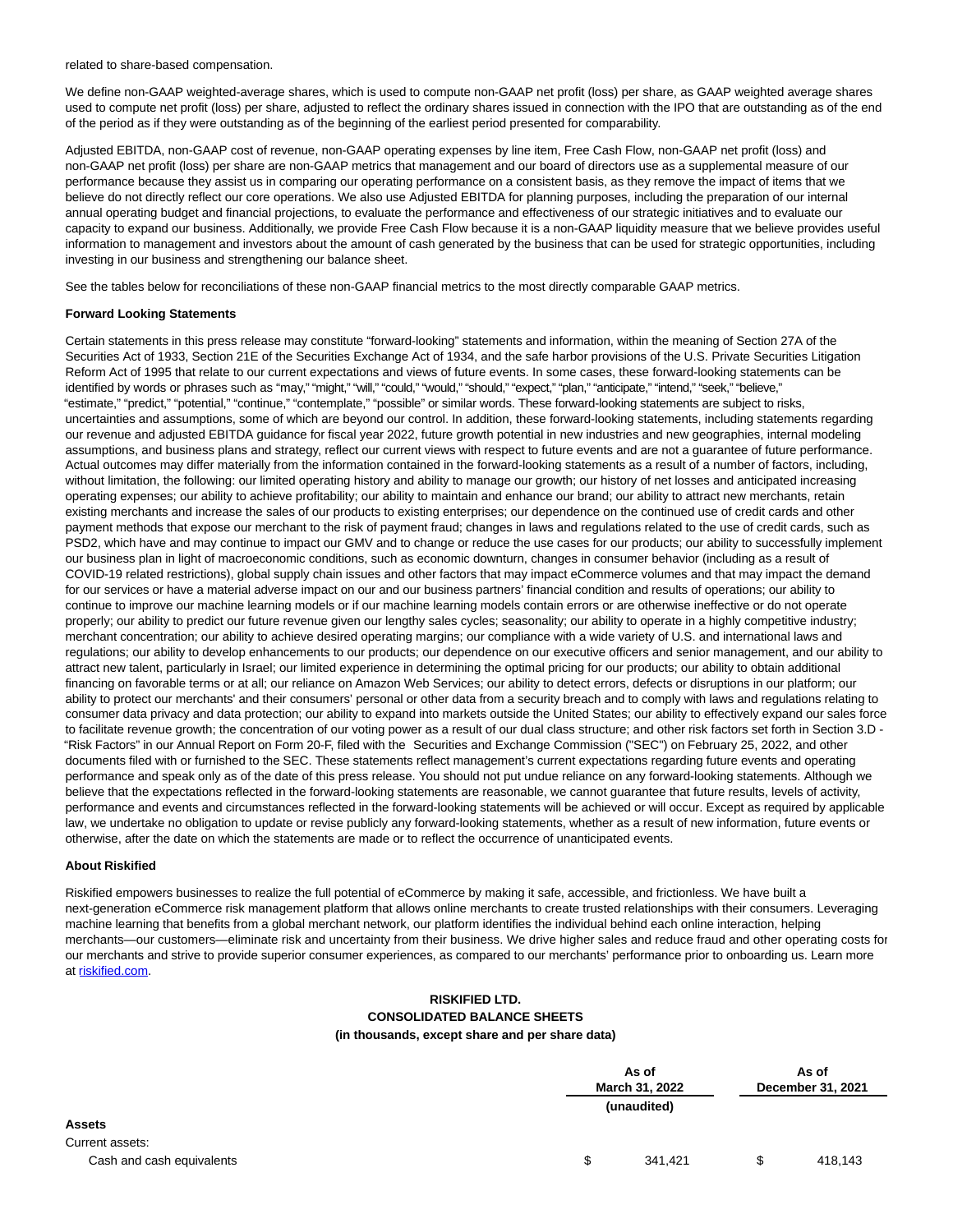related to share-based compensation.

We define non-GAAP weighted-average shares, which is used to compute non-GAAP net profit (loss) per share, as GAAP weighted average shares used to compute net profit (loss) per share, adjusted to reflect the ordinary shares issued in connection with the IPO that are outstanding as of the end of the period as if they were outstanding as of the beginning of the earliest period presented for comparability.

Adjusted EBITDA, non-GAAP cost of revenue, non-GAAP operating expenses by line item, Free Cash Flow, non-GAAP net profit (loss) and non-GAAP net profit (loss) per share are non-GAAP metrics that management and our board of directors use as a supplemental measure of our performance because they assist us in comparing our operating performance on a consistent basis, as they remove the impact of items that we believe do not directly reflect our core operations. We also use Adjusted EBITDA for planning purposes, including the preparation of our internal annual operating budget and financial projections, to evaluate the performance and effectiveness of our strategic initiatives and to evaluate our capacity to expand our business. Additionally, we provide Free Cash Flow because it is a non-GAAP liquidity measure that we believe provides useful information to management and investors about the amount of cash generated by the business that can be used for strategic opportunities, including investing in our business and strengthening our balance sheet.

See the tables below for reconciliations of these non-GAAP financial metrics to the most directly comparable GAAP metrics.

## **Forward Looking Statements**

Certain statements in this press release may constitute "forward-looking" statements and information, within the meaning of Section 27A of the Securities Act of 1933, Section 21E of the Securities Exchange Act of 1934, and the safe harbor provisions of the U.S. Private Securities Litigation Reform Act of 1995 that relate to our current expectations and views of future events. In some cases, these forward-looking statements can be identified by words or phrases such as "may," "might," "will," "could," "would," "should," "expect," "plan," "anticipate," "intend," "seek," "believe," "estimate," "predict," "potential," "continue," "contemplate," "possible" or similar words. These forward-looking statements are subject to risks, uncertainties and assumptions, some of which are beyond our control. In addition, these forward-looking statements, including statements regarding our revenue and adjusted EBITDA guidance for fiscal year 2022, future growth potential in new industries and new geographies, internal modeling assumptions, and business plans and strategy, reflect our current views with respect to future events and are not a guarantee of future performance. Actual outcomes may differ materially from the information contained in the forward-looking statements as a result of a number of factors, including, without limitation, the following: our limited operating history and ability to manage our growth; our history of net losses and anticipated increasing operating expenses; our ability to achieve profitability; our ability to maintain and enhance our brand; our ability to attract new merchants, retain existing merchants and increase the sales of our products to existing enterprises; our dependence on the continued use of credit cards and other payment methods that expose our merchant to the risk of payment fraud; changes in laws and regulations related to the use of credit cards, such as PSD2, which have and may continue to impact our GMV and to change or reduce the use cases for our products; our ability to successfully implement our business plan in light of macroeconomic conditions, such as economic downturn, changes in consumer behavior (including as a result of COVID-19 related restrictions), global supply chain issues and other factors that may impact eCommerce volumes and that may impact the demand for our services or have a material adverse impact on our and our business partners' financial condition and results of operations; our ability to continue to improve our machine learning models or if our machine learning models contain errors or are otherwise ineffective or do not operate properly; our ability to predict our future revenue given our lengthy sales cycles; seasonality; our ability to operate in a highly competitive industry; merchant concentration; our ability to achieve desired operating margins; our compliance with a wide variety of U.S. and international laws and regulations; our ability to develop enhancements to our products; our dependence on our executive officers and senior management, and our ability to attract new talent, particularly in Israel; our limited experience in determining the optimal pricing for our products; our ability to obtain additional financing on favorable terms or at all; our reliance on Amazon Web Services; our ability to detect errors, defects or disruptions in our platform; our ability to protect our merchants' and their consumers' personal or other data from a security breach and to comply with laws and regulations relating to consumer data privacy and data protection; our ability to expand into markets outside the United States; our ability to effectively expand our sales force to facilitate revenue growth; the concentration of our voting power as a result of our dual class structure; and other risk factors set forth in Section 3.D - "Risk Factors" in our Annual Report on Form 20-F, filed with the Securities and Exchange Commission ("SEC") on February 25, 2022, and other documents filed with or furnished to the SEC. These statements reflect management's current expectations regarding future events and operating performance and speak only as of the date of this press release. You should not put undue reliance on any forward-looking statements. Although we believe that the expectations reflected in the forward-looking statements are reasonable, we cannot guarantee that future results, levels of activity, performance and events and circumstances reflected in the forward-looking statements will be achieved or will occur. Except as required by applicable law, we undertake no obligation to update or revise publicly any forward-looking statements, whether as a result of new information, future events or otherwise, after the date on which the statements are made or to reflect the occurrence of unanticipated events.

## **About Riskified**

Riskified empowers businesses to realize the full potential of eCommerce by making it safe, accessible, and frictionless. We have built a next-generation eCommerce risk management platform that allows online merchants to create trusted relationships with their consumers. Leveraging machine learning that benefits from a global merchant network, our platform identifies the individual behind each online interaction, helping merchants—our customers—eliminate risk and uncertainty from their business. We drive higher sales and reduce fraud and other operating costs for our merchants and strive to provide superior consumer experiences, as compared to our merchants' performance prior to onboarding us. Learn more at [riskified.com.](https://cts.businesswire.com/ct/CT?id=smartlink&url=https%3A%2F%2Fwww.riskified.com%2F&esheet=52721799&newsitemid=20220517005533&lan=en-US&anchor=riskified.com&index=4&md5=891e51e71a4129d0bc7c3661c4ff1ca7)

## **RISKIFIED LTD. CONSOLIDATED BALANCE SHEETS (in thousands, except share and per share data)**

|                           |    | As of<br>March 31, 2022 |    | As of             |
|---------------------------|----|-------------------------|----|-------------------|
|                           |    |                         |    | December 31, 2021 |
|                           |    | (unaudited)             |    |                   |
| <b>Assets</b>             |    |                         |    |                   |
| Current assets:           |    |                         |    |                   |
| Cash and cash equivalents | S. | 341,421                 | \$ | 418,143           |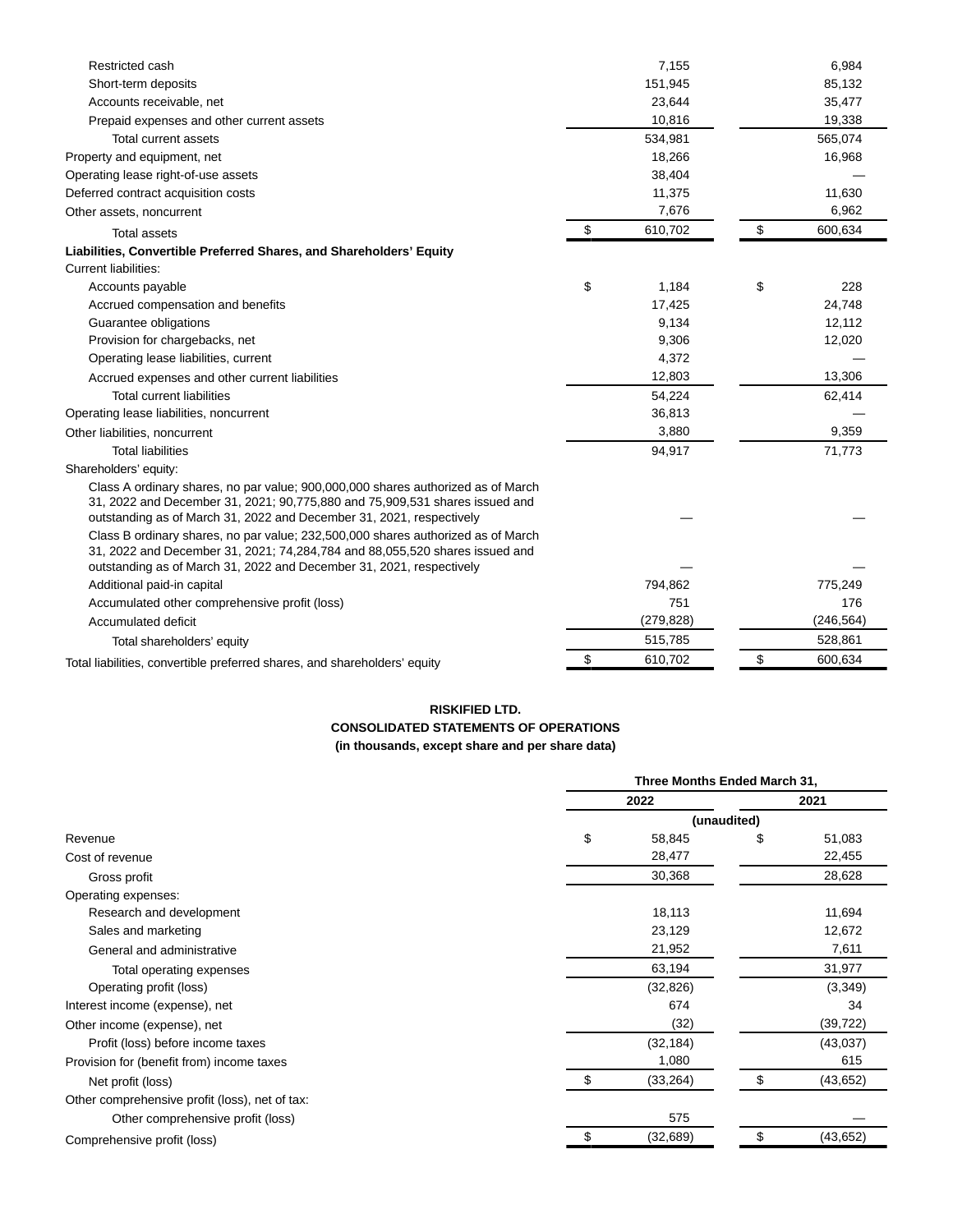| Restricted cash                                                                                                                                                                                                                             | 7,155         | 6,984         |
|---------------------------------------------------------------------------------------------------------------------------------------------------------------------------------------------------------------------------------------------|---------------|---------------|
| Short-term deposits                                                                                                                                                                                                                         | 151,945       | 85,132        |
| Accounts receivable, net                                                                                                                                                                                                                    | 23,644        | 35,477        |
| Prepaid expenses and other current assets                                                                                                                                                                                                   | 10,816        | 19,338        |
| Total current assets                                                                                                                                                                                                                        | 534,981       | 565,074       |
| Property and equipment, net                                                                                                                                                                                                                 | 18,266        | 16,968        |
| Operating lease right-of-use assets                                                                                                                                                                                                         | 38,404        |               |
| Deferred contract acquisition costs                                                                                                                                                                                                         | 11,375        | 11,630        |
| Other assets, noncurrent                                                                                                                                                                                                                    | 7,676         | 6,962         |
| <b>Total assets</b>                                                                                                                                                                                                                         | \$<br>610,702 | \$<br>600,634 |
| Liabilities, Convertible Preferred Shares, and Shareholders' Equity                                                                                                                                                                         |               |               |
| Current liabilities:                                                                                                                                                                                                                        |               |               |
| Accounts payable                                                                                                                                                                                                                            | \$<br>1,184   | \$<br>228     |
| Accrued compensation and benefits                                                                                                                                                                                                           | 17,425        | 24,748        |
| Guarantee obligations                                                                                                                                                                                                                       | 9,134         | 12,112        |
| Provision for chargebacks, net                                                                                                                                                                                                              | 9,306         | 12,020        |
| Operating lease liabilities, current                                                                                                                                                                                                        | 4,372         |               |
| Accrued expenses and other current liabilities                                                                                                                                                                                              | 12,803        | 13,306        |
| <b>Total current liabilities</b>                                                                                                                                                                                                            | 54,224        | 62,414        |
| Operating lease liabilities, noncurrent                                                                                                                                                                                                     | 36,813        |               |
| Other liabilities, noncurrent                                                                                                                                                                                                               | 3,880         | 9,359         |
| <b>Total liabilities</b>                                                                                                                                                                                                                    | 94,917        | 71,773        |
| Shareholders' equity:                                                                                                                                                                                                                       |               |               |
| Class A ordinary shares, no par value; 900,000,000 shares authorized as of March<br>31, 2022 and December 31, 2021; 90, 775, 880 and 75, 909, 531 shares issued and<br>outstanding as of March 31, 2022 and December 31, 2021, respectively |               |               |
| Class B ordinary shares, no par value; 232,500,000 shares authorized as of March<br>31, 2022 and December 31, 2021; 74, 284, 784 and 88, 055, 520 shares issued and<br>outstanding as of March 31, 2022 and December 31, 2021, respectively |               |               |
| Additional paid-in capital                                                                                                                                                                                                                  | 794,862       | 775,249       |
| Accumulated other comprehensive profit (loss)                                                                                                                                                                                               | 751           | 176           |
| Accumulated deficit                                                                                                                                                                                                                         | (279, 828)    | (246, 564)    |
| Total shareholders' equity                                                                                                                                                                                                                  |               |               |
|                                                                                                                                                                                                                                             | 515,785       | 528,861       |

## **RISKIFIED LTD.**

## **CONSOLIDATED STATEMENTS OF OPERATIONS (in thousands, except share and per share data)**

|                                                | Three Months Ended March 31, |             |        |           |  |  |
|------------------------------------------------|------------------------------|-------------|--------|-----------|--|--|
|                                                |                              | 2022        |        | 2021      |  |  |
|                                                |                              | (unaudited) |        |           |  |  |
| Revenue                                        | \$                           | 58,845      | \$     | 51,083    |  |  |
| Cost of revenue                                |                              | 28,477      |        | 22,455    |  |  |
| Gross profit                                   |                              | 30,368      |        | 28,628    |  |  |
| Operating expenses:                            |                              |             |        |           |  |  |
| Research and development                       |                              | 18,113      |        | 11,694    |  |  |
| Sales and marketing                            |                              | 23,129      | 12,672 |           |  |  |
| General and administrative                     |                              | 21,952      | 7,611  |           |  |  |
| Total operating expenses                       |                              | 63,194      |        | 31,977    |  |  |
| Operating profit (loss)                        |                              | (32, 826)   |        | (3,349)   |  |  |
| Interest income (expense), net                 |                              | 674         |        | 34        |  |  |
| Other income (expense), net                    |                              | (32)        |        | (39, 722) |  |  |
| Profit (loss) before income taxes              |                              | (32, 184)   |        | (43,037)  |  |  |
| Provision for (benefit from) income taxes      |                              | 1,080       |        | 615       |  |  |
| Net profit (loss)                              | \$                           | (33, 264)   | \$     | (43, 652) |  |  |
| Other comprehensive profit (loss), net of tax: |                              |             |        |           |  |  |
| Other comprehensive profit (loss)              |                              | 575         |        |           |  |  |
| Comprehensive profit (loss)                    |                              | (32, 689)   | S      | (43, 652) |  |  |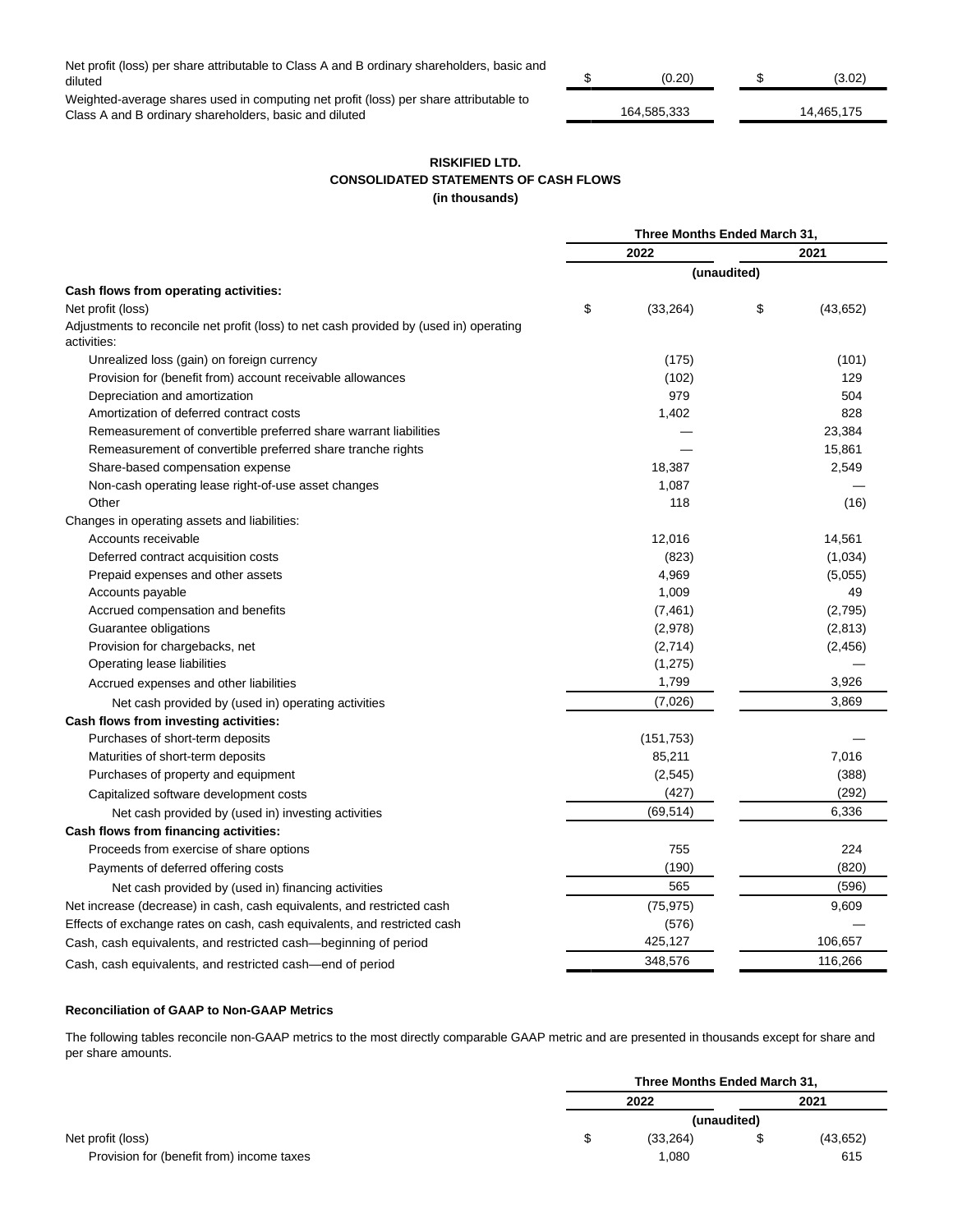Net profit (loss) per share attributable to Class A and B ordinary shareholders, basic and diluted \$ (0.20) \$ (3.02)

Weighted-average shares used in computing net profit (loss) per share attributable to Class A and B ordinary shareholders, basic and diluted 164,585,333 14,465,175

| וחר ח     |  |                              |
|-----------|--|------------------------------|
| 101000000 |  | $AA$ $A$ $C$ $F$ $A$ $T$ $F$ |

## **RISKIFIED LTD. CONSOLIDATED STATEMENTS OF CASH FLOWS (in thousands)**

|                                                                                                       | Three Months Ended March 31, |            |             |           |
|-------------------------------------------------------------------------------------------------------|------------------------------|------------|-------------|-----------|
|                                                                                                       |                              | 2022       |             | 2021      |
|                                                                                                       |                              |            | (unaudited) |           |
| Cash flows from operating activities:                                                                 |                              |            |             |           |
| Net profit (loss)                                                                                     | \$                           | (33, 264)  | \$          | (43, 652) |
| Adjustments to reconcile net profit (loss) to net cash provided by (used in) operating<br>activities: |                              |            |             |           |
| Unrealized loss (gain) on foreign currency                                                            |                              | (175)      |             | (101)     |
| Provision for (benefit from) account receivable allowances                                            |                              | (102)      |             | 129       |
| Depreciation and amortization                                                                         |                              | 979        |             | 504       |
| Amortization of deferred contract costs                                                               |                              | 1,402      |             | 828       |
| Remeasurement of convertible preferred share warrant liabilities                                      |                              |            |             | 23,384    |
| Remeasurement of convertible preferred share tranche rights                                           |                              |            |             | 15,861    |
| Share-based compensation expense                                                                      |                              | 18,387     |             | 2,549     |
| Non-cash operating lease right-of-use asset changes                                                   |                              | 1,087      |             |           |
| Other                                                                                                 |                              | 118        |             | (16)      |
| Changes in operating assets and liabilities:                                                          |                              |            |             |           |
| Accounts receivable                                                                                   |                              | 12,016     |             | 14,561    |
| Deferred contract acquisition costs                                                                   |                              | (823)      |             | (1,034)   |
| Prepaid expenses and other assets                                                                     |                              | 4,969      |             | (5,055)   |
| Accounts payable                                                                                      |                              | 1,009      |             | 49        |
| Accrued compensation and benefits                                                                     |                              | (7, 461)   |             | (2,795)   |
| Guarantee obligations                                                                                 |                              | (2,978)    |             | (2,813)   |
| Provision for chargebacks, net                                                                        |                              | (2,714)    |             | (2, 456)  |
| Operating lease liabilities                                                                           |                              | (1,275)    |             |           |
| Accrued expenses and other liabilities                                                                |                              | 1,799      |             | 3,926     |
| Net cash provided by (used in) operating activities                                                   |                              | (7,026)    |             | 3,869     |
| Cash flows from investing activities:                                                                 |                              |            |             |           |
| Purchases of short-term deposits                                                                      |                              | (151, 753) |             |           |
| Maturities of short-term deposits                                                                     |                              | 85,211     |             | 7,016     |
| Purchases of property and equipment                                                                   |                              | (2, 545)   |             | (388)     |
| Capitalized software development costs                                                                |                              | (427)      |             | (292)     |
| Net cash provided by (used in) investing activities                                                   |                              | (69, 514)  |             | 6,336     |
| Cash flows from financing activities:                                                                 |                              |            |             |           |
| Proceeds from exercise of share options                                                               |                              | 755        |             | 224       |
| Payments of deferred offering costs                                                                   |                              | (190)      |             | (820)     |
| Net cash provided by (used in) financing activities                                                   |                              | 565        |             | (596)     |
| Net increase (decrease) in cash, cash equivalents, and restricted cash                                |                              | (75, 975)  |             | 9,609     |
| Effects of exchange rates on cash, cash equivalents, and restricted cash                              |                              | (576)      |             |           |
| Cash, cash equivalents, and restricted cash—beginning of period                                       |                              | 425,127    |             | 106,657   |
| Cash, cash equivalents, and restricted cash-end of period                                             |                              | 348,576    |             | 116,266   |

## **Reconciliation of GAAP to Non-GAAP Metrics**

The following tables reconcile non-GAAP metrics to the most directly comparable GAAP metric and are presented in thousands except for share and per share amounts.

|                                           | Three Months Ended March 31, |             |           |
|-------------------------------------------|------------------------------|-------------|-----------|
|                                           | 2022                         |             | 2021      |
|                                           |                              | (unaudited) |           |
| Net profit (loss)                         | (33, 264)                    |             | (43, 652) |
| Provision for (benefit from) income taxes | 1.080                        |             | 615       |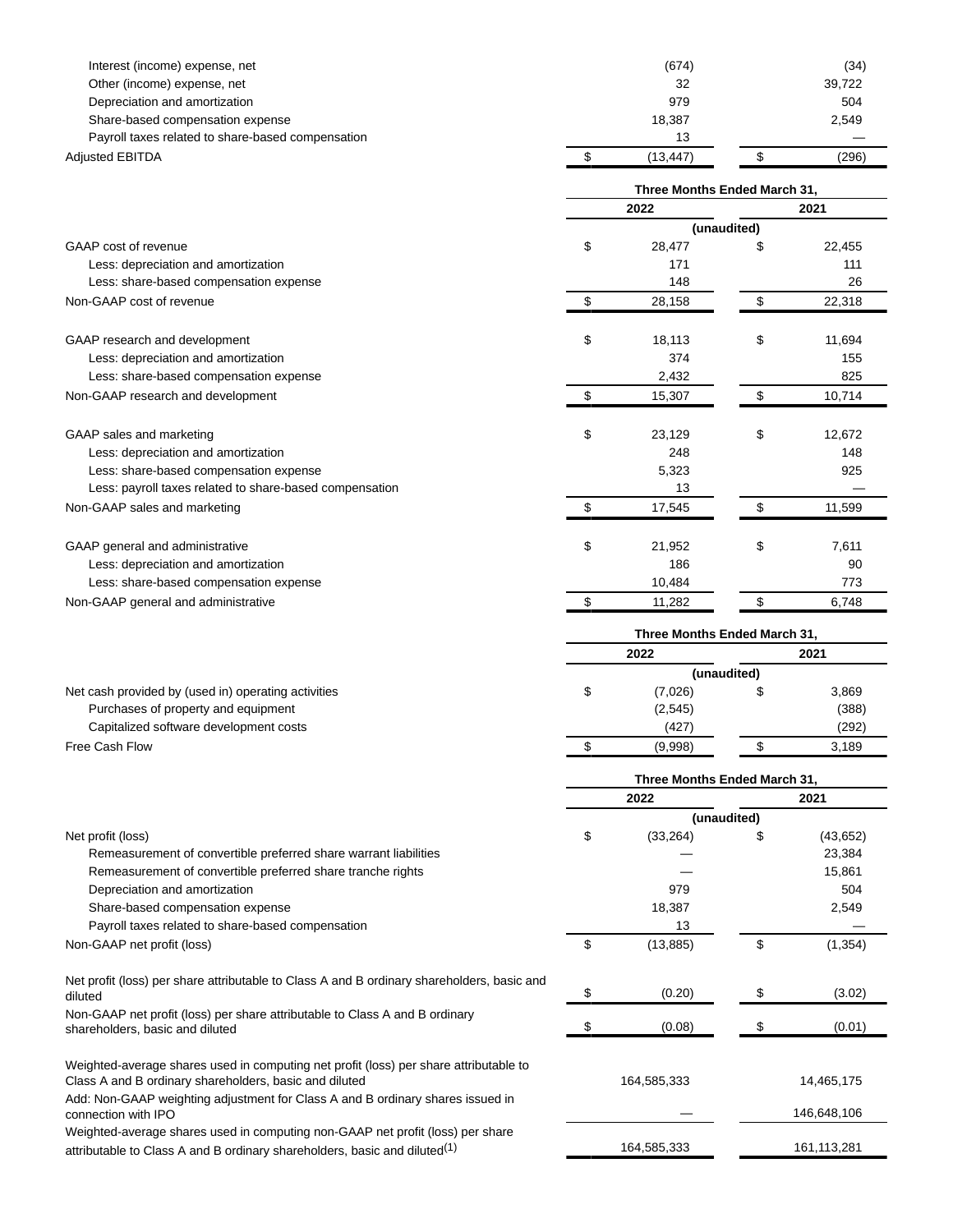| Interest (income) expense, net<br>Other (income) expense, net<br>Depreciation and amortization<br>Share-based compensation expense<br>Payroll taxes related to share-based compensation | (674)<br>32<br>979<br>18,387<br>13 |    | (34)<br>39,722<br>504<br>2,549 |  |  |
|-----------------------------------------------------------------------------------------------------------------------------------------------------------------------------------------|------------------------------------|----|--------------------------------|--|--|
| <b>Adjusted EBITDA</b>                                                                                                                                                                  | \$<br>(13, 447)                    | \$ | (296)                          |  |  |
|                                                                                                                                                                                         | Three Months Ended March 31,       |    |                                |  |  |
|                                                                                                                                                                                         | 2022                               |    | 2021                           |  |  |
|                                                                                                                                                                                         | (unaudited)                        |    |                                |  |  |
| GAAP cost of revenue                                                                                                                                                                    | \$<br>28,477                       | \$ | 22,455                         |  |  |
| Less: depreciation and amortization                                                                                                                                                     | 171                                |    | 111                            |  |  |
| Less: share-based compensation expense                                                                                                                                                  | 148                                |    | 26                             |  |  |
| Non-GAAP cost of revenue                                                                                                                                                                | \$<br>28,158                       | \$ | 22,318                         |  |  |
| GAAP research and development                                                                                                                                                           | \$<br>18,113                       | \$ | 11,694                         |  |  |
| Less: depreciation and amortization                                                                                                                                                     | 374                                |    | 155                            |  |  |
| Less: share-based compensation expense                                                                                                                                                  | 2,432                              |    | 825                            |  |  |
| Non-GAAP research and development                                                                                                                                                       | \$<br>15,307                       | \$ | 10,714                         |  |  |
| GAAP sales and marketing                                                                                                                                                                | \$<br>23,129                       | \$ | 12,672                         |  |  |
| Less: depreciation and amortization                                                                                                                                                     | 248                                |    | 148                            |  |  |
| Less: share-based compensation expense                                                                                                                                                  | 5,323                              |    | 925                            |  |  |
| Less: payroll taxes related to share-based compensation                                                                                                                                 | 13                                 |    |                                |  |  |
| Non-GAAP sales and marketing                                                                                                                                                            | \$<br>17,545                       | \$ | 11,599                         |  |  |
| GAAP general and administrative                                                                                                                                                         | \$<br>21,952                       | \$ | 7,611                          |  |  |
| Less: depreciation and amortization                                                                                                                                                     | 186                                |    | 90                             |  |  |
| Less: share-based compensation expense                                                                                                                                                  | 10,484                             |    | 773                            |  |  |
| Non-GAAP general and administrative                                                                                                                                                     | \$<br>11,282                       | \$ | 6,748                          |  |  |
|                                                                                                                                                                                         | Three Months Ended March 31,       |    |                                |  |  |
|                                                                                                                                                                                         | 2022                               |    | 2021                           |  |  |
|                                                                                                                                                                                         | (unaudited)                        |    |                                |  |  |
| Net cash provided by (used in) operating activities<br>Purchases of property and equipment                                                                                              | \$<br>(7,026)<br>(2, 545)          | \$ | 3,869<br>(388)                 |  |  |
| Capitalized software development costs                                                                                                                                                  | (427)                              |    | (292)                          |  |  |
| Free Cash Flow                                                                                                                                                                          | \$<br>(9,998)                      | \$ | 3,189                          |  |  |
|                                                                                                                                                                                         | Three Months Ended March 31,       |    |                                |  |  |
|                                                                                                                                                                                         | 2022                               |    | 2021                           |  |  |
|                                                                                                                                                                                         | (unaudited)                        |    |                                |  |  |
| Net profit (loss)                                                                                                                                                                       | \$<br>(33, 264)                    | S  | (43, 652)                      |  |  |
| Remeasurement of convertible preferred share warrant liabilities                                                                                                                        |                                    |    | 23,384                         |  |  |
| Remeasurement of convertible preferred share tranche rights                                                                                                                             |                                    |    | 15,861                         |  |  |
| Depreciation and amortization<br>Share-based compensation expense                                                                                                                       | 979<br>18,387                      |    | 504<br>2,549                   |  |  |
| Payroll taxes related to share-based compensation                                                                                                                                       | 13                                 |    |                                |  |  |
| Non-GAAP net profit (loss)                                                                                                                                                              | \$<br>(13, 885)                    | \$ | (1, 354)                       |  |  |
|                                                                                                                                                                                         |                                    |    |                                |  |  |
| Net profit (loss) per share attributable to Class A and B ordinary shareholders, basic and<br>diluted                                                                                   | \$<br>(0.20)                       | \$ | (3.02)                         |  |  |
| Non-GAAP net profit (loss) per share attributable to Class A and B ordinary<br>shareholders, basic and diluted                                                                          | \$<br>(0.08)                       | S  | (0.01)                         |  |  |
| Weighted-average shares used in computing net profit (loss) per share attributable to                                                                                                   |                                    |    |                                |  |  |
| Class A and B ordinary shareholders, basic and diluted                                                                                                                                  | 164,585,333                        |    | 14,465,175                     |  |  |
| Add: Non-GAAP weighting adjustment for Class A and B ordinary shares issued in<br>connection with IPO                                                                                   |                                    |    | 146,648,106                    |  |  |
| Weighted-average shares used in computing non-GAAP net profit (loss) per share<br>attributable to Class A and B ordinary shareholders, basic and diluted <sup>(1)</sup>                 | 164,585,333                        |    | 161, 113, 281                  |  |  |